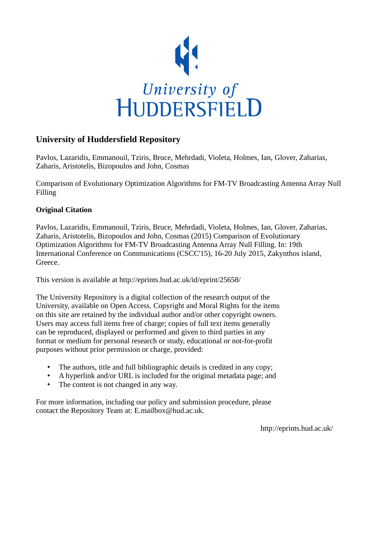

# **University of Huddersfield Repository**

Pavlos, Lazaridis, Emmanouil, Tziris, Bruce, Mehrdadi, Violeta, Holmes, Ian, Glover, Zaharias, Zaharis, Aristotelis, Bizopoulos and John, Cosmas

Comparison of Evolutionary Optimization Algorithms for FM-TV Broadcasting Antenna Array Null Filling

# **Original Citation**

Pavlos, Lazaridis, Emmanouil, Tziris, Bruce, Mehrdadi, Violeta, Holmes, Ian, Glover, Zaharias, Zaharis, Aristotelis, Bizopoulos and John, Cosmas (2015) Comparison of Evolutionary Optimization Algorithms for FM-TV Broadcasting Antenna Array Null Filling. In: 19th International Conference on Communications (CSCC'15), 16-20 July 2015, Zakynthos island, Greece.

This version is available at http://eprints.hud.ac.uk/id/eprint/25658/

The University Repository is a digital collection of the research output of the University, available on Open Access. Copyright and Moral Rights for the items on this site are retained by the individual author and/or other copyright owners. Users may access full items free of charge; copies of full text items generally can be reproduced, displayed or performed and given to third parties in any format or medium for personal research or study, educational or not-for-profit purposes without prior permission or charge, provided:

- The authors, title and full bibliographic details is credited in any copy;
- A hyperlink and/or URL is included for the original metadata page; and
- The content is not changed in any way.

For more information, including our policy and submission procedure, please contact the Repository Team at: E.mailbox@hud.ac.uk.

http://eprints.hud.ac.uk/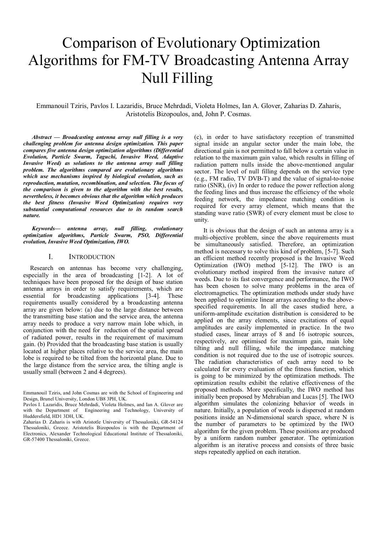# Comparison of Evolutionary Optimization Algorithms for FM-TV Broadcasting Antenna Array Null Filling

Emmanouil Tziris, Pavlos I. Lazaridis, Bruce Mehrdadi, Violeta Holmes, Ian A. Glover, Zaharias D. Zaharis, Aristotelis Bizopoulos, and, John P. Cosmas.

*Abstract — Broadcasting antenna array null filling is a very challenging problem for antenna design optimization. This paper compares five antenna design optimization algorithms (Differential Evolution, Particle Swarm, Taguchi, Invasive Weed, Adaptive Invasive Weed) as solutions to the antenna array null filling problem. The algorithms compared are evolutionary algorithms which use mechanisms inspired by biological evolution, such as reproduction, mutation, recombination, and selection. The focus of the comparison is given to the algorithm with the best results, nevertheless, it becomes obvious that the algorithm which produces the best fitness (Invasive Weed Optimization) requires very substantial computational resources due to its random search nature.*

*Keywords— antenna array, null filling, evolutionary optimization algorithms, Particle Swarm, PSO, Differential evolution, Invasive Weed Optimization, IWO.*

# I. INTRODUCTION

Research on antennas has become very challenging, especially in the area of broadcasting [1-2]. A lot of techniques have been proposed for the design of base station antenna arrays in order to satisfy requirements, which are essential for broadcasting applications [3-4]. These requirements usually considered by a broadcasting antenna array are given below: (a) due to the large distance between the transmitting base station and the service area, the antenna array needs to produce a very narrow main lobe which, in conjunction with the need for reduction of the spatial spread of radiated power, results in the requirement of maximum gain. (b) Provided that the broadcasting base station is usually located at higher places relative to the service area, the main lobe is required to be tilted from the horizontal plane. Due to the large distance from the service area, the tilting angle is usually small (between 2 and 4 degrees).

(c), in order to have satisfactory reception of transmitted signal inside an angular sector under the main lobe, the directional gain is not permitted to fall below a certain value in relation to the maximum gain value, which results in filling of radiation pattern nulls inside the above-mentioned angular sector. The level of null filling depends on the service type (e.g., FM radio, TV DVB-T) and the value of signal-to-noise ratio (SNR), (iv) In order to reduce the power reflection along the feeding lines and thus increase the efficiency of the whole feeding network, the impedance matching condition is required for every array element, which means that the standing wave ratio (SWR) of every element must be close to unity.

It is obvious that the design of such an antenna array is a multi-objective problem, since the above requirements must be simultaneously satisfied. Therefore, an optimization method is necessary to solve this kind of problem, [5-7]. Such an efficient method recently proposed is the Invasive Weed Optimization (IWO) method [5-12]. The IWO is an evolutionary method inspired from the invasive nature of weeds. Due to its fast convergence and performance, the IWO has been chosen to solve many problems in the area of electromagnetics. The optimization methods under study have been applied to optimize linear arrays according to the abovespecified requirements. In all the cases studied here, a uniform-amplitude excitation distribution is considered to be applied on the array elements, since excitations of equal amplitudes are easily implemented in practice. In the two studied cases, linear arrays of 8 and 16 isotropic sources, respectively, are optimised for maximum gain, main lobe tilting and null filling, while the impedance matching condition is not required due to the use of isotropic sources. The radiation characteristics of each array need to be calculated for every evaluation of the fitness function, which is going to be minimized by the optimization methods. The optimization results exhibit the relative effectiveness of the proposed methods. More specifically, the IWO method has initially been proposed by Mehrabian and Lucas [5]. The IWO algorithm simulates the colonizing behavior of weeds in nature. Initially, a population of weeds is dispersed at random positions inside an N-dimensional search space, where N is the number of parameters to be optimized by the IWO algorithm for the given problem. These positions are produced by a uniform random number generator. The optimization algorithm is an iterative process and consists of three basic steps repeatedly applied on each iteration.

Emmanouil Tziris, and John Cosmas are with the School of Engineering and Design, Brunel University, London UB8 3PH, UK.

Pavlos I. Lazaridis, Bruce Mehrdadi, Violeta Holmes, and Ian A. Glover are with the Department of Engineering and Technology, University of Huddersfield, HD1 3DH, UK.

Zaharias D. Zaharis is with Aristotle University of Thessaloniki, GR-54124 Thessaloniki, Greece. Aristotelis Bizopoulos is with the Department of Electronics, Alexander Technological Educational Institute of Thessaloniki, GR-57400 Thessaloniki, Greece.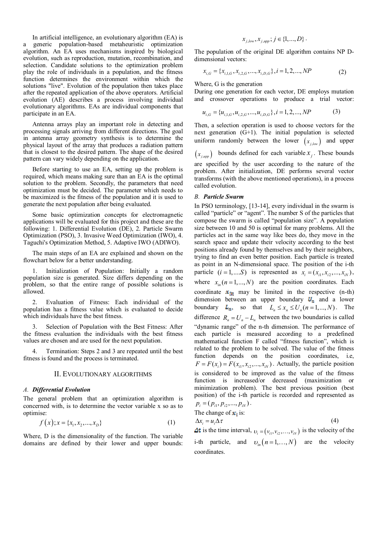In artificial intelligence, an evolutionary algorithm (EA) is a generic population-based metaheuristic optimization algorithm. An EA uses mechanisms inspired by biological evolution, such as reproduction, mutation, recombination, and selection. Candidate solutions to the optimization problem play the role of individuals in a population, and the fitness function determines the environment within which the solutions "live". Evolution of the population then takes place after the repeated application of the above operators. Artificial evolution (AE) describes a process involving individual evolutionary algorithms. EAs are individual components that participate in an EA.

Antenna arrays play an important role in detecting and processing signals arriving from different directions. The goal in antenna array geometry synthesis is to determine the physical layout of the array that produces a radiation pattern that is closest to the desired pattern. The shape of the desired pattern can vary widely depending on the application.

Before starting to use an EA, setting up the problem is required, which means making sure than an EA is the optimal solution to the problem. Secondly, the parameters that need optimization must be decided. The parameter which needs to be maximized is the fitness of the population and it is used to generate the next population after being evaluated.

Some basic optimization concepts for electromagnetic applications will be evaluated for this project and these are the following: 1. Differential Evolution (DE), 2. Particle Swarm Optimization (PSO), 3. Invasive Weed Optimization (IWO), 4. Taguchi's Optimization Method, 5. Adaptive IWO (ADIWO).

The main steps of an EA are explained and shown on the flowchart below for a better understanding.

1. Initialization of Population: Initially a random population size is generated. Size differs depending on the problem, so that the entire range of possible solutions is allowed.

2. Evaluation of Fitness: Each individual of the population has a fitness value which is evaluated to decide which individuals have the best fitness.

3. Selection of Population with the Best Fitness: After the fitness evaluation the individuals with the best fitness values are chosen and are used for the next population.

Termination: Steps 2 and 3 are repeated until the best fitness is found and the process is terminated.

## II. EVOLUTIONARY ALGORITHMS

# *A. Differential Evolution*

The general problem that an optimization algorithm is concerned with, is to determine the vector variable x so as to optimise:

$$
f(x); x = \{x_1, x_2, ..., x_D\}
$$
 (1)

Where, D is the dimensionality of the function. The variable domains are defined by their lower and upper bounds:

$$
x_{j,low}, x_{j,upp}; j \in \{1, ..., D\}.
$$

The population of the original DE algorithm contains NP Ddimensional vectors:

$$
x_{i,G} = \{x_{i,1,G}, x_{i,2,G}, \dots, x_{i,D,G}\}, i = 1, 2, \dots, NP
$$
 (2)

Where, G is the generation

During one generation for each vector, DE employs mutation and crossover operations to produce a trial vector:

$$
u_{i,G} = \{u_{i,1,G}, u_{i,2,G}, ..., u_{i,D,G}\}, i = 1, 2, ..., NP
$$
 (3)

Then, a selection operation is used to choose vectors for the next generation (G+1). The initial population is selected uniform randomly between the lower  $(x_{j,low})$  and upper

 $(x_{j,upp})$  bounds defined for each variable  $x_j$ . These bounds are specified by the user according to the nature of the

problem. After initialization, DE performs several vector transforms (with the above mentioned operations), in a process called evolution.

#### *B. Particle Swarm*

In PSO terminology, [13-14], every individual in the swarm is called "particle" or "agent". The number S of the particles that compose the swarm is called "population size". A population size between 10 and 50 is optimal for many problems. All the particles act in the same way like bees do, they move in the search space and update their velocity according to the best positions already found by themselves and by their neighbors, trying to find an even better position. Each particle is treated as point in an N-dimensional space. The position of the i-th particle  $(i = 1,...S)$  is represented as  $x_i = (x_{i1}, x_{i2},..., x_{iN})$ , where  $x_{in}$   $(n = 1,..., N)$  are the position coordinates. Each coordinate  $x_{im}$  may be limited in the respective (n-th) dimension between an upper boundary  $U_n$  and a lower boundary  $L_n$ , so that  $L_n \le x_n \le U_n (n = 1, ..., N)$ . The difference  $R_{n} = U_{n} - L_{n}$  between the two boundaries is called "dynamic range" of the n-th dimension. The performance of each particle is measured according to a predefined mathematical function F called "fitness function", which is related to the problem to be solved. The value of the fitness function depends on the position coordinates, i.e,  $F = F(x_i) = F(x_{i1}, x_{i2}, \dots, x_{iN})$ . Actually, the particle position is considered to be improved as the value of the fitness function is increased/or decreased (maximization or minimization problem). The best previous position (best position) of the i-th particle is recorded and represented as  $p_i = (p_{i1}, p_{i2}, ..., p_{iN}).$ The change of  $x_i$  is:  $\Delta x_i = u_i \Delta \tau$  (4)

is the time interval,  $v_i = (v_{i1}, v_{i2}, \dots, v_{iN})$  is the velocity of the i-th particle, and  $v_m (n = 1, ..., N)$  are the velocity coordinates.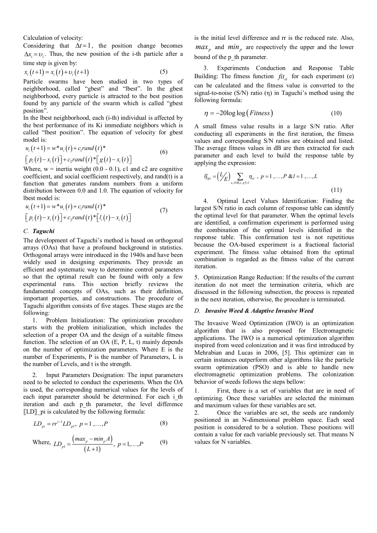Calculation of velocity:

Considering that  $\Delta t = 1$ , the position change becomes  $\Delta x = v$ . Thus, the new position of the i-th particle after a time step is given by:

$$
x_i(t+1) = x_i(t) + v_i(t+1)
$$
 (5)

Particle swarms have been studied in two types of neighborhood, called "gbest" and "lbest". In the gbest neighborhood, every particle is attracted to the best position found by any particle of the swarm which is called "gbest position".

In the lbest neighborhood, each (i-th) individual is affected by the best performance of its Ki immediate neighbors which is called "lbest position". The equation of velocity for gbest model is:

$$
u_i(t+1) = w^* u_i(t) + c_i rand(t)^* \n\left[p_i(t) - x_i(t)\right] + c_i rand(t)^* \left[g(t) - x_i(t)\right]
$$
\n(6)

Where,  $w =$  inertia weight (0.0 - 0.1), c1 and c2 are cognitive coefficient, and social coefficient respectively, and rand(t) is a function that generates random numbers from a uniform distribution between 0.0 and 1.0. The equation of velocity for lbest model is:

$$
u_i(t+1) = w^*u_i(t) + c_i\text{rand}(t)^* \n\left[p_i(t) - x_i(t)\right] + c_2\text{rand}(t)^*\left[l_i(t) - x_i(t)\right]
$$
\n(7)

# *C. Taguchi*

The development of Taguchi's method is based on orthogonal arrays (OAs) that have a profound background in statistics. Orthogonal arrays were introduced in the 1940s and have been widely used in designing experiments. They provide an efficient and systematic way to determine control parameters so that the optimal result can be found with only a few experimental runs. This section briefly reviews the fundamental concepts of OAs, such as their definition, important properties, and constructions. The procedure of Taguchi algorithm consists of five stages. These stages are the following:

1. Problem Initialization: The optimization procedure starts with the problem initialization, which includes the selection of a proper OA and the design of a suitable fitness function. The selection of an OA (E, P, L, t) mainly depends on the number of optimization parameters. Where E is the number of Experiments, P is the number of Parameters, L is the number of Levels, and t is the strength.

2. Input Parameters Designation: The input parameters need to be selected to conduct the experiments. When the OA is used, the corresponding numerical values for the levels of each input parameter should be determined. For each i th iteration and each p\_th parameter, the level difference 〖LD〗\_pi is calculated by the following formula:

$$
LD_{pi} = rr^{i-1}LD_{p1}, \ p = 1, ..., P
$$
 (8)

Where, 
$$
LD_{p1} = \frac{(max_p - min_p A)}{(L+1)}, p = 1,...,P
$$
 (9)

is the initial level difference and rr is the reduced rate. Also,  $max<sub>p</sub>$  and  $min<sub>p</sub>$  are respectively the upper and the lower bound of the p\_th parameter.

3. Experiments Conduction and Response Table Building: The fitness function  $\hat{f}it_{\theta}$  for each experiment (e) can be calculated and the fitness value is converted to the signal-to-noise  $(S/N)$  ratio  $(\eta)$  in Taguchi's method using the following formula:

$$
\eta = -20\log\log(Fitness)
$$
\n(10)

A small fitness value results in a large S/N ratio. After conducting all experiments in the first iteration, the fitness values and corresponding S/N ratios are obtained and listed. The average fitness values in dB are then extracted for each parameter and each level to build the response table by applying the expression:

$$
\overline{\eta}_{lpi} = (L/E) \sum_{e, O: A(e, p) = l} \eta_{ei} , p = 1, ..., P \& l = 1, ..., L
$$
\n(11)

4. Optimal Level Values Identification: Finding the largest S/N ratio in each column of response table can identify the optimal level for that parameter. When the optimal levels are identified, a confirmation experiment is performed using the combination of the optimal levels identified in the response table. This confirmation test is not repetitious because the OA-based experiment is a fractional factorial experiment. The fitness value obtained from the optimal combination is regarded as the fitness value of the current iteration.

5. Optimization Range Reduction: If the results of the current iteration do not meet the termination criteria, which are discussed in the following subsection, the process is repeated in the next iteration, otherwise, the procedure is terminated.

# *D. Invasive Weed & Adaptive Invasive Weed*

The Invasive Weed Optimization (IWO) is an optimization algorithm that is also proposed for Electromagnetic applications. The IWO is a numerical optimization algorithm inspired from weed colonization and it was first introduced by Mehrabian and Lucas in 2006, [5]. This optimizer can in certain instances outperform other algorithms like the particle swarm optimization (PSO) and is able to handle new electromagnetic optimization problems. The colonization behavior of weeds follows the steps bellow:

1. First, there is a set of variables that are in need of optimizing. Once these variables are selected the minimum and maximum values for these variables are set.

2. Once the variables are set, the seeds are randomly positioned in an N-dimensional problem space. Each seed position is considered to be a solution. These positions will contain a value for each variable previously set. That means N values for N variables.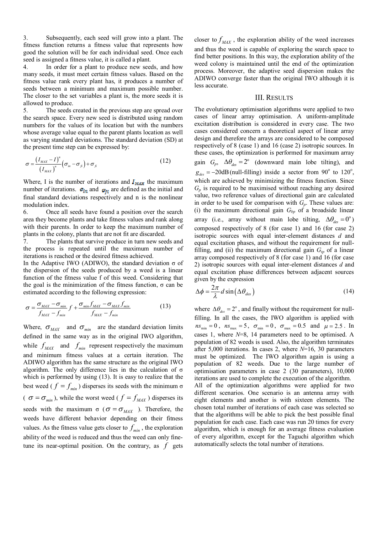3. Subsequently, each seed will grow into a plant. The fitness function returns a fitness value that represents how good the solution will be for each individual seed. Once each seed is assigned a fitness value, it is called a plant.

4. In order for a plant to produce new seeds, and how many seeds, it must meet certain fitness values. Based on the fitness value rank every plant has, it produces a number of seeds between a minimum and maximum possible number. The closer to the set variables a plant is, the more seeds it is allowed to produce.

5. The seeds created in the previous step are spread over the search space. Every new seed is distributed using random numbers for the values of its location but with the numbers whose average value equal to the parent plants location as well as varying standard deviations. The standard deviation (SD) at the present time step can be expressed by:

$$
\sigma = \frac{\left(I_{MAX} - I\right)^n}{\left(I_{MAX}\right)^n} \left(\sigma_{in} - \sigma_{fi}\right) + \sigma_{fi}
$$
\n(12)

Where, I is the number of iterations and  $I_{MAX}$  the maximum number of iterations.  $\sigma_{in}$  and  $\sigma_{ri}$  are defined as the initial and final standard deviations respectively and n is the nonlinear modulation index.

6. Once all seeds have found a position over the search area they become plants and take fitness values and rank along with their parents. In order to keep the maximum number of plants in the colony, plants that are not fit are discarded.

7. The plants that survive produce in turn new seeds and the process is repeated until the maximum number of iterations is reached or the desired fitness achieved.

In the Adaptive IWO (ADIWO), the standard deviation  $\sigma$  of the dispersion of the seeds produced by a weed is a linear function of the fitness value f of this weed. Considering that the goal is the minimization of the fitness function, σ can be estimated according to the following expression:

$$
\sigma = \frac{\sigma_{MAX} - \sigma_{min}}{f_{MAX} - f_{min}} f + \frac{\sigma_{min} f_{MAX} - \sigma_{MAX} f_{min}}{f_{MAX} - f_{min}}
$$
(13)

Where,  $\sigma_{MAX}$  and  $\sigma_{min}$  are the standard deviation limits defined in the same way as in the original IWO algorithm, while  $f_{MAX}$  and  $f_{min}$  represent respectively the maximum and minimum fitness values at a certain iteration. The ADIWO algorithm has the same structure as the original IWO algorithm. The only difference lies in the calculation of  $\sigma$ which is performed by using (13). It is easy to realize that the best weed ( $f = f_{min}$ ) disperses its seeds with the minimum  $\sigma$  $\sigma = \sigma_{min}$ ), while the worst weed ( $f = f_{MAX}$ ) disperses its seeds with the maximum  $\sigma$  ( $\sigma = \sigma_{MAX}$ ). Therefore, the weeds have different behavior depending on their fitness values. As the fitness value gets closer to  $f_{min}$ , the exploration ability of the weed is reduced and thus the weed can only finetune its near-optimal position. On the contrary, as  $f$  gets

closer to  $f_{MX}$ , the exploration ability of the weed increases and thus the weed is capable of exploring the search space to find better positions. In this way, the exploration ability of the weed colony is maintained until the end of the optimization process. Moreover, the adaptive seed dispersion makes the ADIWO converge faster than the original IWO although it is less accurate.

# III. RESULTS

The evolutionary optimisation algorithms were applied to two cases of linear array optimisation. A uniform-amplitude excitation distribution is considered in every case. The two cases considered concern a theoretical aspect of linear array design and therefore the arrays are considered to be composed respectively of 8 (case 1) and 16 (case 2) isotropic sources. In these cases, the optimization is performed for maximum array gain  $G_p$ ,  $\Delta\theta_{des} = 2^\circ$  (downward main lobe tilting), and  $g_{des} = -20$ dB(null-filling) inside a sector from 90<sup>°</sup> to 120<sup>°</sup>, which are achieved by minimizing the fitness function. Since  $G_p$  is required to be maximised without reaching any desired value, two reference values of directional gain are calculated in order to be used for comparison with *Gp*. These values are: (i) the maximum directional gain *Gbp* of a broadside linear array (i.e., array without main lobe tilting,  $\Delta\theta_{des} = 0^{\circ}$ ) composed respectively of 8 (for case 1) and 16 (for case 2) isotropic sources with equal inter-element distances *d* and equal excitation phases, and without the requirement for nullfilling, and (ii) the maximum directional gain  $G<sub>tp</sub>$  of a linear array composed respectively of 8 (for case 1) and 16 (for case 2) isotropic sources with equal inter-element distances *d* and equal excitation phase differences between adjacent sources given by the expression

$$
\Delta \phi = \frac{2\pi}{\lambda} d \sin \left( \Delta \theta_{des} \right) \tag{14}
$$

where  $\Delta\theta_{des} = 2^{\circ}$ , and finally without the requirement for nullfilling. In all the cases, the IWO algorithm is applied with  $ns_{\min} = 0$ ,  $ns_{\max} = 5$ ,  $\sigma_{\min} = 0$ ,  $\sigma_{\max} = 0.5$  and  $\mu = 2.5$ . In cases 1, where *N*=8, 14 parameters need to be optimised. A population of 82 weeds is used. Also, the algorithm terminates after 5,000 iterations. In cases 2, where *N*=16, 30 parameters must be optimized. The IWO algorithm again is using a population of 82 weeds. Due to the large number of optimisation parameters in case 2 (30 parameters), 10,000 iterations are used to complete the execution of the algorithm. All of the optimization algorithms were applied for two different scenarios. One scenario is an antenna array with eight elements and another is with sixteen elements. The chosen total number of iterations of each case was selected so that the algorithms will be able to pick the best possible final

population for each case. Each case was run 20 times for every algorithm, which is enough for an average fitness evaluation of every algorithm, except for the Taguchi algorithm which automatically selects the total number of iterations.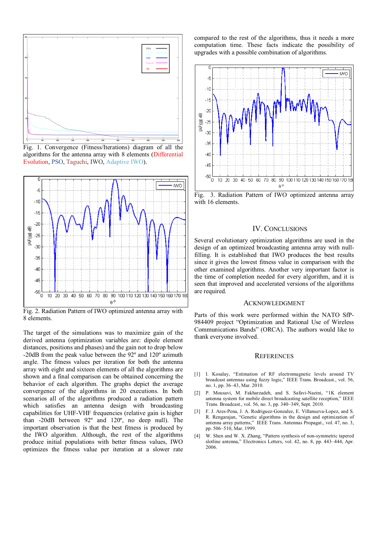

Fig. 1. Convergence (Fitness/Iterations) diagram of all the algorithms for the antenna array with 8 elements (Differential Evolution, PSO, Taguchi, IWO, Adaptive IWO).



Fig. 2. Radiation Pattern of IWO optimized antenna array with 8 elements.

The target of the simulations was to maximize gain of the derived antenna (optimization variables are: dipole element distances, positions and phases) and the gain not to drop below -20dB from the peak value between the 92º and 120º azimuth angle. The fitness values per iteration for both the antenna array with eight and sixteen elements of all the algorithms are shown and a final comparison can be obtained concerning the behavior of each algorithm. The graphs depict the average convergence of the algorithms in 20 executions. In both scenarios all of the algorithms produced a radiation pattern which satisfies an antenna design with broadcasting capabilities for UHF-VHF frequencies (relative gain is higher than -20dB between 92º and 120º, no deep null). The important observation is that the best fitness is produced by the IWO algorithm. Although, the rest of the algorithms produce initial populations with better fitness values, IWO optimizes the fitness value per iteration at a slower rate

compared to the rest of the algorithms, thus it needs a more computation time. These facts indicate the possibility of upgrades with a possible combination of algorithms.



Fig. 3. Radiation Pattern of IWO optimized antenna array with 16 elements.

# IV. CONCLUSIONS

Several evolutionary optimization algorithms are used in the design of an optimized broadcasting antenna array with nullfilling. It is established that IWO produces the best results since it gives the lowest fitness value in comparison with the other examined algorithms. Another very important factor is the time of completion needed for every algorithm, and it is seen that improved and accelerated versions of the algorithms are required.

#### ACKNOWLEDGMENT

Parts of this work were performed within the NATO SfP-984409 project "Optimization and Rational Use of Wireless Communications Bands" (ORCA). The authors would like to thank everyone involved.

## **REFERENCES**

- [1] I. Kosalay, "Estimation of RF electromagnetic levels around TV broadcast antennas using fuzzy logic," IEEE Trans. Broadcast., vol. 56, no. 1, pp. 36–43, Mar. 2010.
- [2] P. Mousavi, M. Fakharzadeh, and S. Safavi-Naeini, "1K element antenna system for mobile direct broadcasting satellite reception," IEEE Trans. Broadcast., vol. 56, no. 3, pp. 340–349, Sept. 2010.
- [3] F. J. Ares-Pena, J. A. Rodriguez-Gonzalez, E. Villanueva-Lopez, and S. R. Rengarajan, "Genetic algorithms in the design and optimization of antenna array patterns," IEEE Trans. Antennas Propagat., vol. 47, no. 3, pp. 506–510, Mar. 1999.
- [4] W. Shen and W. X. Zhang, "Pattern synthesis of non-symmetric tapered slotline antenna," Electronics Letters, vol. 42, no. 8, pp. 443–444, Apr. 2006.